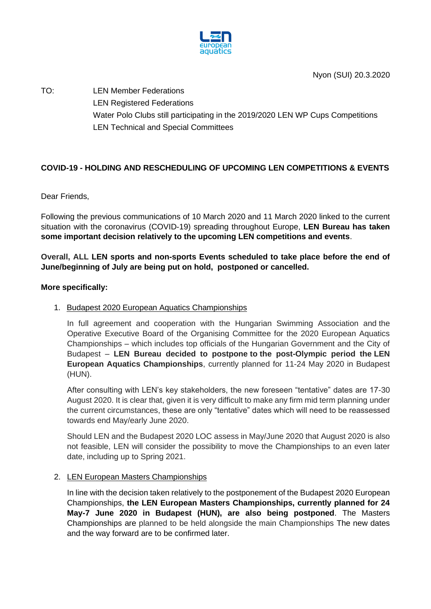

TO: LEN Member Federations LEN Registered Federations Water Polo Clubs still participating in the 2019/2020 LEN WP Cups Competitions LEN Technical and Special Committees

# **COVID-19 - HOLDING AND RESCHEDULING OF UPCOMING LEN COMPETITIONS & EVENTS**

Dear Friends,

Following the previous communications of 10 March 2020 and 11 March 2020 linked to the current situation with the coronavirus (COVID-19) spreading throughout Europe, **LEN Bureau has taken some important decision relatively to the upcoming LEN competitions and events**.

**Overall, ALL LEN sports and non-sports Events scheduled to take place before the end of June/beginning of July are being put on hold, postponed or cancelled.**

### **More specifically:**

### 1. Budapest 2020 European Aquatics Championships

In full agreement and cooperation with the Hungarian Swimming Association and the Operative Executive Board of the Organising Committee for the 2020 European Aquatics Championships – which includes top officials of the Hungarian Government and the City of Budapest – **LEN Bureau decided to postpone to the post-Olympic period the LEN European Aquatics Championships**, currently planned for 11-24 May 2020 in Budapest (HUN).

After consulting with LEN's key stakeholders, the new foreseen "tentative" dates are 17-30 August 2020. It is clear that, given it is very difficult to make any firm mid term planning under the current circumstances, these are only "tentative" dates which will need to be reassessed towards end May/early June 2020.

Should LEN and the Budapest 2020 LOC assess in May/June 2020 that August 2020 is also not feasible, LEN will consider the possibility to move the Championships to an even later date, including up to Spring 2021.

### 2. LEN European Masters Championships

In line with the decision taken relatively to the postponement of the Budapest 2020 European Championships, **the LEN European Masters Championships, currently planned for 24 May-7 June 2020 in Budapest (HUN), are also being postponed**. The Masters Championships are planned to be held alongside the main Championships The new dates and the way forward are to be confirmed later.